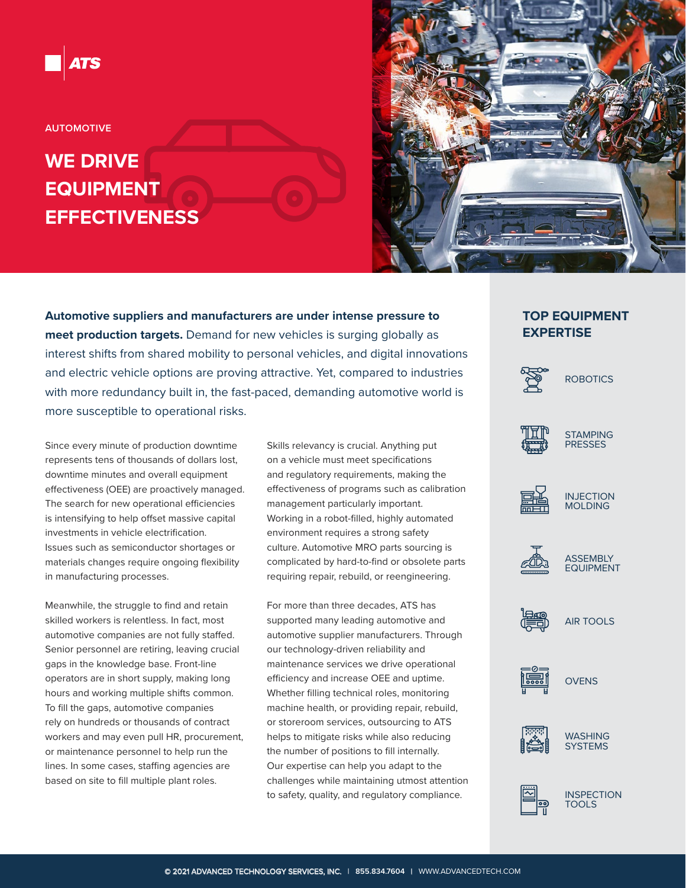

**AUTOMOTIVE**

# **WE DRIVE EQUIPMENT EFFECTIVENESS**



**Automotive suppliers and manufacturers are under intense pressure to meet production targets.** Demand for new vehicles is surging globally as interest shifts from shared mobility to personal vehicles, and digital innovations and electric vehicle options are proving attractive. Yet, compared to industries with more redundancy built in, the fast-paced, demanding automotive world is more susceptible to operational risks.

Since every minute of production downtime represents tens of thousands of dollars lost, downtime minutes and overall equipment effectiveness (OEE) are proactively managed. The search for new operational efficiencies is intensifying to help offset massive capital investments in vehicle electrification. Issues such as semiconductor shortages or materials changes require ongoing flexibility in manufacturing processes.

Meanwhile, the struggle to find and retain skilled workers is relentless. In fact, most automotive companies are not fully staffed. Senior personnel are retiring, leaving crucial gaps in the knowledge base. Front-line operators are in short supply, making long hours and working multiple shifts common. To fill the gaps, automotive companies rely on hundreds or thousands of contract workers and may even pull HR, procurement, or maintenance personnel to help run the lines. In some cases, staffing agencies are based on site to fill multiple plant roles.

Skills relevancy is crucial. Anything put on a vehicle must meet specifications and regulatory requirements, making the effectiveness of programs such as calibration management particularly important. Working in a robot-filled, highly automated environment requires a strong safety culture. Automotive MRO parts sourcing is complicated by hard-to-find or obsolete parts requiring repair, rebuild, or reengineering.

For more than three decades, ATS has supported many leading automotive and automotive supplier manufacturers. Through our technology-driven reliability and maintenance services we drive operational efficiency and increase OEE and uptime. Whether filling technical roles, monitoring machine health, or providing repair, rebuild, or storeroom services, outsourcing to ATS helps to mitigate risks while also reducing the number of positions to fill internally. Our expertise can help you adapt to the challenges while maintaining utmost attention to safety, quality, and regulatory compliance.

## **TOP EQUIPMENT EXPERTISE**







STAMPING PRESSES







**ASSEMBLY** EQUIPMENT



AIR TOOLS







WASHING **SYSTEMS** 



**INSPECTION** TOOLS